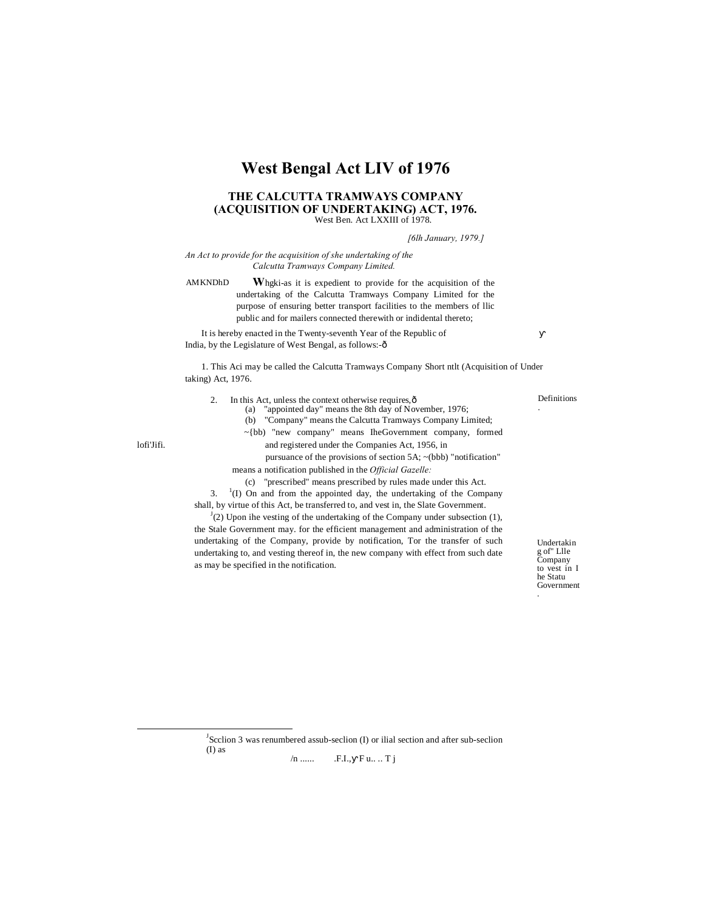# **West Bengal Act LIV of 1976**

## **THE CALCUTTA TRAMWAYS COMPANY (ACQUISITION OF UNDERTAKING) ACT, 1976.** West Ben. Act LXXIII of 1978.

*[6lh January, 1979.]*

*An Act to provide for the acquisition of she undertaking of the Calcutta Tramways Company Limited.*

AMKNDhD **W**hgki-as it is expedient to provide for the acquisition of the undertaking of the Calcutta Tramways Company Limited for the purpose of ensuring better transport facilities to the members of llic public and for mailers connected therewith or indidental thereto;

It is hereby enacted in the Twenty-seventh Year of the Republic of India, by the Legislature of West Bengal, as follows:-ô

1. This Aci may be called the Calcutta Tramways Company Short ntlt (Acquisition of Under taking) Act, 1976.

- 2. In this Act, unless the context otherwise requires, $\hat{\text{o}}$ (a) "appointed day" means the 8th day of November, 1976;
	- (b) "Company" means the Calcutta Tramways Company Limited;
	- ~{bb) "new company" means IheGovernment company, formed
- lofi'Jifi. and registered under the Companies Act, 1956, in
	- pursuance of the provisions of section 5A; ~(bbb) "notification" means a notification published in the *Official Gazelle:*
		- (c) "prescribed" means prescribed by rules made under this Act.

3. <sup>1</sup>  $(1)$  On and from the appointed day, the undertaking of the Company shall, by virtue of this Act, be transferred to, and vest in, the Slate Government.

 $J<sup>J</sup>(2)$  Upon ihe vesting of the undertaking of the Company under subsection (1), the Stale Government may. for the efficient management and administration of the undertaking of the Company, provide by notification, Tor the transfer of such undertaking to, and vesting thereof in, the new company with effect from such date as may be specified in the notification.

Undertakin g of" Llle Company to vest in I he Statu Government .

Definitions .

 $\overline{J}$  $<sup>J</sup>$ Scclion 3 was renumbered assub-seclion (I) or ilial section and after sub-seclion</sup> (I) as

 $/n$  ...... F.I., Fu... Tj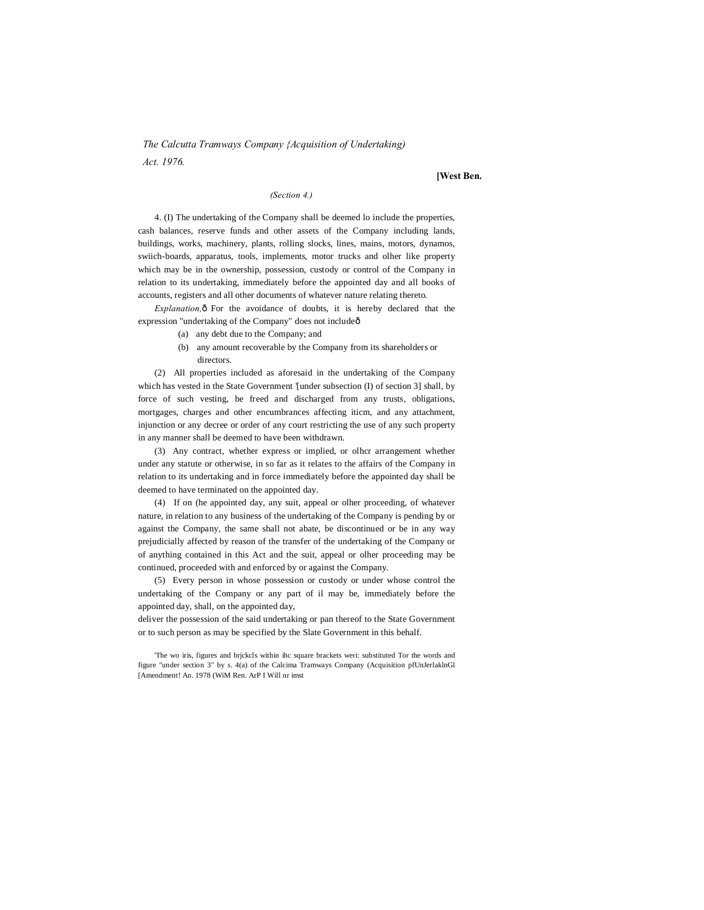*The Calcutta Tramways Company {Acquisition of Undertaking) Act. 1976.*

**[West Ben.**

# *(Section 4.)*

4. (I) The undertaking of the Company shall be deemed lo include the properties, cash balances, reserve funds and other assets of the Company including lands, buildings, works, machinery, plants, rolling slocks, lines, mains, motors, dynamos, swiich-boards, apparatus, tools, implements, motor trucks and olher like property which may be in the ownership, possession, custody or control of the Company in relation to its undertaking, immediately before the appointed day and all books of accounts, registers and all other documents of whatever nature relating thereto.

*Explanation*,  $\hat{o}$  For the avoidance of doubts, it is hereby declared that the expression "undertaking of the Company" does not include—

- (a) any debt due to the Company; and
- (b) any amount recoverable by the Company from its shareholders or directors.

(2) All properties included as aforesaid in the undertaking of the Company which has vested in the State Government '[under subsection (I) of section 3] shall, by force of such vesting, be freed and discharged from any trusts, obligations, mortgages, charges and other encumbrances affecting iticm, and any attachment, injunction or any decree or order of any court restricting the use of any such property in any manner shall be deemed to have been withdrawn.

(3) Any contract, whether express or implied, or olhcr arrangement whether under any statute or otherwise, in so far as it relates to the affairs of the Company in relation to its undertaking and in force immediately before the appointed day shall be deemed to have terminated on the appointed day.

(4) If on (he appointed day, any suit, appeal or olher proceeding, of whatever nature, in relation to any business of the undertaking of the Company is pending by or against the Company, the same shall not abate, be discontinued or be in any way prejudicially affected by reason of the transfer of the undertaking of the Company or of anything contained in this Act and the suit, appeal or olher proceeding may be continued, proceeded with and enforced by or against the Company.

(5) Every person in whose possession or custody or under whose control the undertaking of the Company or any part of il may be, immediately before the appointed day, shall, on the appointed day,

deliver the possession of the said undertaking or pan thereof to the State Government or to such person as may be specified by the Slate Government in this behalf.

<sup>&#</sup>x27;The wo iris, figures and brjckcls within ihc square brackets weri: substituted Tor the words and figure "under section 3" by s. 4(a) of the Calcima Tramways Company (Acquisition pfUnJerlaklnGl [Amendment! An. 1978 (WiM Ren. ArP I Will nr imst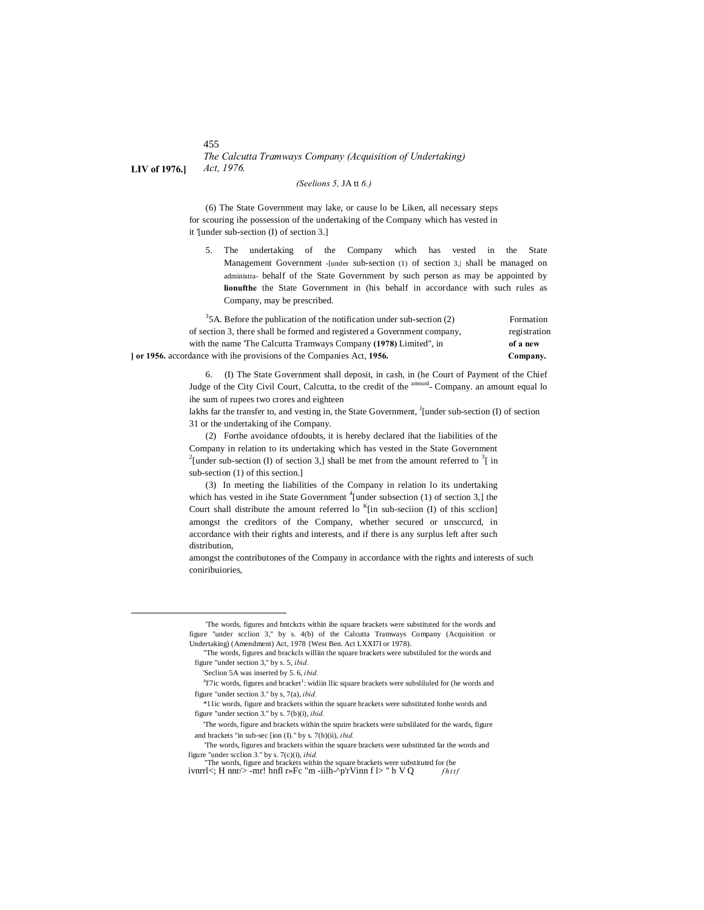#### 455 *The Calcutta Tramways Company (Acquisition of Undertaking)* **LIV of 1976.]** *Act, 1976.*

#### *(Seelions 5,* JA tt *6.)*

(6) The State Government may lake, or cause lo be Liken, all necessary steps for scouring ihe possession of the undertaking of the Company which has vested in it '[under sub-section (I) of section 3.]

5. The undertaking of the Company which has vested in the State Management Government -[under sub-section (1) of section 3, shall be managed on administra- behalf of the State Government by such person as may be appointed by **lionufthe** the State Government in (his behalf in accordance with such rules as Company, may be prescribed.

| $35A$ . Before the publication of the notification under sub-section (2) | Formation    |
|--------------------------------------------------------------------------|--------------|
| of section 3, there shall be formed and registered a Government company, | registration |
| with the name The Calcutta Tramways Company (1978) Limited", in          | of a new     |
| or 1956. accordance with the provisions of the Companies Act, 1956.      | Company.     |

6. (I) The State Government shall deposit, in cash, in (he Court of Payment of the Chief Judge of the City Civil Court, Calcutta, to the credit of the <sup>amounl</sup>- Company. an amount equal lo ihe sum of rupees two crores and eighteen

lakhs far the transfer to, and vesting in, the State Government,  $\frac{1}{2}$  [under sub-section (I) of section 31 or the undertaking of ihe Company.

(2) Forthe avoidance ofdoubts, it is hereby declared ihat the liabilities of the Company in relation to its undertaking which has vested in the State Government <sup>2</sup>[under sub-section (I) of section 3,] shall be met from the amount referred to  $3$ [ in sub-section (1) of this section.]

(3) In meeting the liabilities of the Company in relation lo its undertaking which has vested in ihe State Government  $\frac{4}{1}$  under subsection (1) of section 3,] the Court shall distribute the amount referred lo  $K$ [in sub-seciion (I) of this scclion] amongst the creditors of the Company, whether secured or unsccurcd, in accordance with their rights and interests, and if there is any surplus left after such distribution,

amongst the contributones of the Company in accordance with the rights and interests of such coniribuiories,

 <sup>&#</sup>x27;The words, figures and bntckcts within ihe square brackets were substituted for the words and figure "under scclion 3," by s. 4(b) of the Calcutta Tramways Company (Acquisition or Undertaking) (Amendment) Act, 1978 {West Ben. Act LXXI7I or 1978).

<sup>&</sup>quot;The words, figures and brackcls williin the square brackets were substiluled for the words and figure "under section 3," by s. 5, *ibid.*

<sup>&#</sup>x27;Seclion 5A was inserted by 5. 6, *ibid.*

<sup>&</sup>lt;sup>J</sup>T7ic words, figures and bracket<sup>1</sup>: widiin Ilic square brackets were subsliluled for (he words and figure "under section 3." by s, 7(a), *ibid.*

<sup>\*11</sup>ic words, figure and brackets within the square hrackets were substituted fonhe words and figure "under section 3." by s. 7(b)(i), *ibid.*

<sup>&#</sup>x27;The words, figure and brackets within the squire brackets were subslilated for the wards, figure and brackets "in sub-sec [ion (I)." by s. 7(b)(ii), *ibid.*

<sup>&#</sup>x27;The words, figures and brackets within the square brackets were substituted far the words and figure "under scclion 3." by s. 7(c)(i), *ibid.*

<sup>&</sup>quot;The words, figure and brackets within the square brackets were substituted for (he ivnrrl $\lt$ ; H nnr/> -mr! hnfl r»Fc "m -iilh-^p'rVinn f l> " h V Q *fhttf*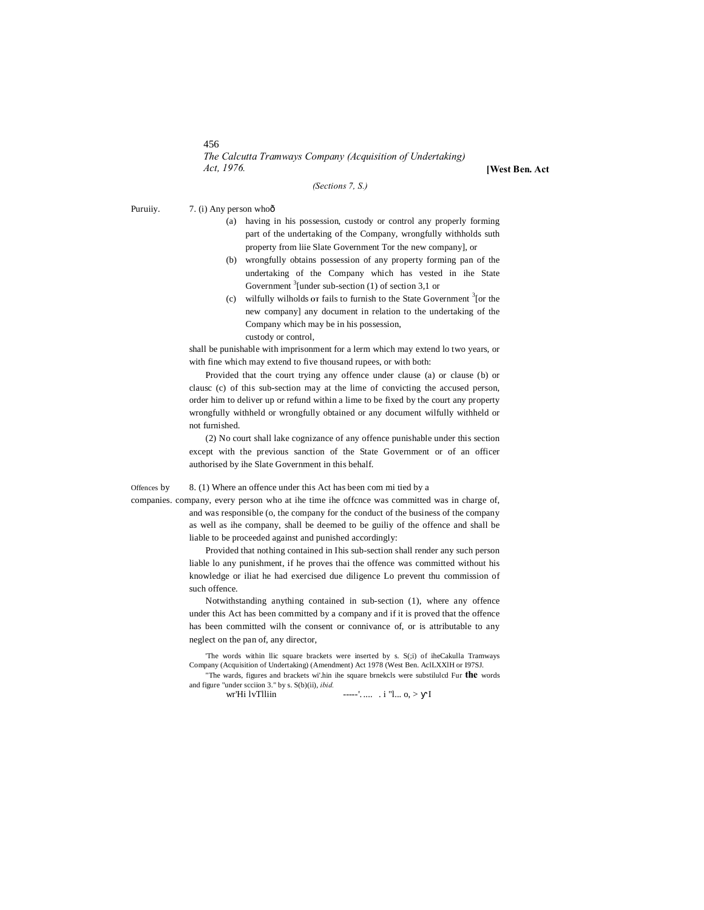456

*The Calcutta Tramways Company (Acquisition of Undertaking) Act, 1976.* **[West Ben. Act**

*(Sections 7, S.)*

Puruiiy. 7. (i) Any person whoô

- (a) having in his possession, custody or control any properly forming part of the undertaking of the Company, wrongfully withholds suth property from liie Slate Government Tor the new company], or
- (b) wrongfully obtains possession of any property forming pan of the undertaking of the Company which has vested in ihe State Government  $3$ [under sub-section (1) of section 3,1 or
- (c) wilfully wilholds **OT** fails to furnish to the State Government <sup>3</sup> [or the new company] any document in relation to the undertaking of the Company which may be in his possession, custody or control,

shall be punishable with imprisonment for a lerm which may extend lo two years, or with fine which may extend to five thousand rupees, or with both:

Provided that the court trying any offence under clause (a) or clause (b) or clausc (c) of this sub-section may at the lime of convicting the accused person, order him to deliver up or refund within a lime to be fixed by the court any property wrongfully withheld or wrongfully obtained or any document wilfully withheld or not furnished.

(2) No court shall lake cognizance of any offence punishable under this section except with the previous sanction of the State Government or of an officer authorised by ihe Slate Government in this behalf.

Offences by 8. (1) Where an offence under this Act has been com mi tied by a

companies. company, every person who at ihe time ihe offcnce was committed was in charge of, and was responsible (o, the company for the conduct of the business of the company as well as ihe company, shall be deemed to be guiliy of the offence and shall be liable to be proceeded against and punished accordingly:

> Provided that nothing contained in Ihis sub-section shall render any such person liable lo any punishment, if he proves thai the offence was committed without his knowledge or iliat he had exercised due diligence Lo prevent thu commission of such offence.

> Notwithstanding anything contained in sub-section (1), where any offence under this Act has been committed by a company and if it is proved that the offence has been committed wilh the consent or connivance of, or is attributable to any neglect on the pan of, any director,

> 'The words within llic square brackets were inserted by s. S(;i) of iheCakulla Tramways Company (Acquisition of Undertaking) (Amendment) Act 1978 (West Ben. AclLXXlH or I97SJ.

> "The wards, figures and brackets wi'.hin ihe square brnekcls were substilulcd Fur **the** words and figure "under scciion 3." by s. S(b)(ii), *ibid.*

 $---'....$  . i "l... o, > I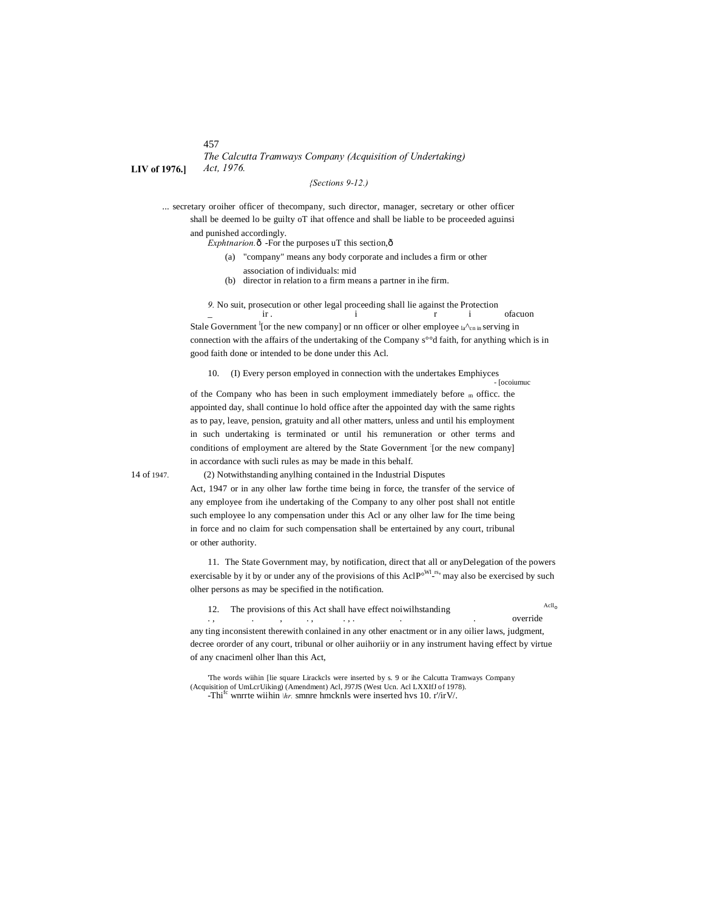457

*The Calcutta Tramways Company (Acquisition of Undertaking)* **LIV of 1976.]** *Act, 1976.*

*{Sections 9-12.)*

... secretary oroiher officer of thecompany, such director, manager, secretary or other officer shall be deemed lo be guilty oT ihat offence and shall be liable to be proceeded aguinsi and punished accordingly.

 $Exphtrarion.$  $\delta$  -For the purposes uT this section, $\delta$ 

- (a) "company" means any body corporate and includes a firm or other
	- association of individuals: mid
- (b) director in relation to a firm means a partner in ihe firm.

*9.* No suit, prosecution or other legal proceeding shall lie against the Protection

\_ ir . i r i ofacuon Stale Government <sup>1</sup>[or the new company] or nn officer or olher employee  $a^{\Lambda}$ <sub>cn in</sub> serving in connection with the affairs of the undertaking of the Company s°°d faith, for anything which is in good faith done or intended to be done under this Acl.

10. (I) Every person employed in connection with the undertakes Emphiyces<br>- [ocoiumuc

of the Company who has been in such employment immediately before  $<sub>m</sub>$  office. the</sub> appointed day, shall continue lo hold office after the appointed day with the same rights as to pay, leave, pension, gratuity and all other matters, unless and until his employment in such undertaking is terminated or until his remuneration or other terms and conditions of employment are altered by the State Government : [or the new company] in accordance with sucli rules as may be made in this behalf.

14 of 1947. (2) Notwithstanding anylhing contained in the Industrial Disputes

Act, 1947 or in any olher law forthe time being in force, the transfer of the service of any employee from ihe undertaking of the Company to any olher post shall not entitle such employee lo any compensation under this Acl or any olher law for Ihe time being in force and no claim for such compensation shall be entertained by any court, tribunal or other authority.

11. The State Government may, by notification, direct that all or anyDelegation of the powers exercisable by it by or under any of the provisions of this Acl $P^{\circ^{WI} \text{rs}}$  may also be exercised by such olher persons as may be specified in the notification.

12. The provisions of this Act shall have effect noiwilhstanding  $Acl_0$ 

. , . , . , . , . . . override any ting inconsistent therewith conlained in any other enactment or in any oilier laws, judgment, decree ororder of any court, tribunal or olher auihoriiy or in any instrument having effect by virtue of any cnacimenl olher lhan this Act,

'The words wiihin [lie square Lirackcls were inserted by s. 9 or ihe Calcutta Tramways Company (Acquisition of UmLcrUiking) (Amendment) Acl, J97JS (West Ucn. Acl LXXIfJ of 1978). -Thi<sup>fc</sup> wnrrte wiihin *\hr*. smnre hmcknls were inserted hvs 10. r'/irV/.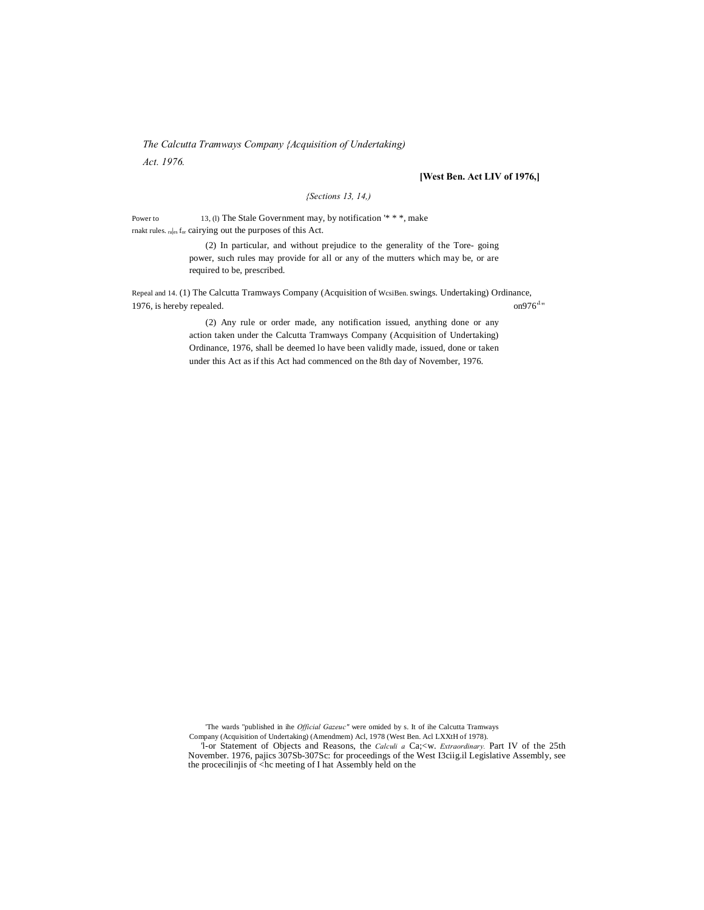*The Calcutta Tramways Company {Acquisition of Undertaking)*

*Act. 1976.*

# **[West Ben. Act LIV of 1976,]**

# *{Sections 13, 14,)*

Power to 13, (l) The Stale Government may, by notification '\* \* \*, make rnakt rules. rules for cairying out the purposes of this Act.

> (2) In particular, and without prejudice to the generality of the Tore- going power, such rules may provide for all or any of the mutters which may be, or are required to be, prescribed.

Repeal and 14. (1) The Calcutta Tramways Company (Acquisition of WcsiBen. swings. Undertaking) Ordinance, 1976, is hereby repealed.  $on976$ <sup>1</sup>"

(2) Any rule or order made, any notification issued, anything done or any action taken under the Calcutta Tramways Company (Acquisition of Undertaking) Ordinance, 1976, shall be deemed lo have been validly made, issued, done or taken under this Act as if this Act had commenced on the 8th day of November, 1976.

'The wards "published in ihe *Official Gazeuc"* were omided by s. It of ihe Calcutta Tramways Company (Acquisition of Undertaking) (Amendmem) Acl, 1978 (West Ben. Acl LXXtH of 1978).

'l-or Statement of Objects and Reasons, the *Calculi a* Ca;<w. *Extraordinary.* Part IV of the 25th November. 1976, pajics 307Sb-307Sc: for proceedings of the West I3ciig.il Legislative Assembly, see the procecilinjis of <hc meeting of I hat Assembly held on the